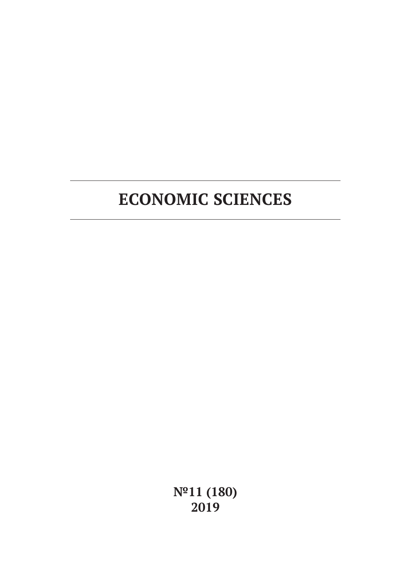**№11 (180) 2019**

# **ECONOMIC SCIENCES**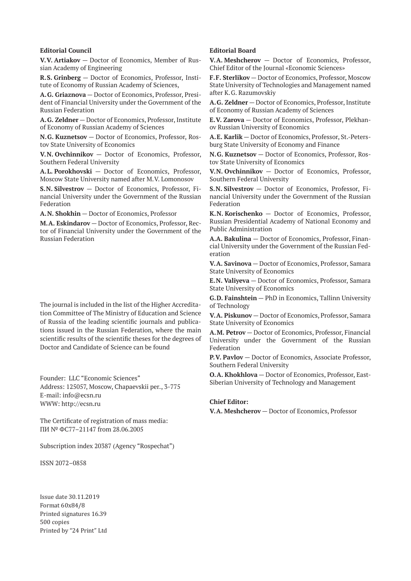#### **Editorial Council**

**V.V. Artiakov** — Doctor of Economics, Member of Russian Academy of Engineering

**R.S. Grinberg** — Doctor of Economics, Professor, Institute of Economy of Russian Academy of Sciences,

**A.G. Griaznova** — Doctor of Economics, Professor, President of Financial University under the Government of the Russian Federation

**A.G. Zeldner** — Doctor of Economics, Professor, Institute of Economy of Russian Academy of Sciences

**N.G. Kuznetsov** — Doctor of Economics, Professor, Rostov State University of Economics

**V.N. Ovchinnikov** — Doctor of Economics, Professor, Southern Federal University

**A.L. Porokhovski** — Doctor of Economics, Professor, Moscow State University named after M.V. Lomonosov

**S.N. Silvestrov** — Doctor of Economics, Professor, Financial University under the Government of the Russian Federation

**A.N. Shokhin** — Doctor of Economics, Professor

**M.A. Eskindarov** — Doctor of Economics, Professor, Rector of Financial University under the Government of the Russian Federation

The journal is included in the list of the Higher Accreditation Committee of The Ministry of Education and Science of Russia of the leading scientific journals and publications issued in the Russian Federation, where the main scientific results of the scientific theses for the degrees of Doctor and Candidate of Science can be found

Founder: LLC "Economic Sciences" Address: 125057, Moscow, Chapaevskii per., 3-775 E-mail: info@ecsn.ru WWW: http://ecsn.ru

The Certificate of registration of mass media: ПИ № ФС77–21147 from 28.06.2005

Subscription index 20387 (Agency "Rospechat")

ISSN 2072–0858

Issue date 30.11.2019 Format 60х84/8 Printed signatures 16.39 500 copies Printed by "24 Print" Ltd

#### **Editorial Board**

**V.A. Meshcherov** — Doctor of Economics, Professor, Chief Editor of the Journal «Economic Sciences»

**F.F. Sterlikov** — Doctor of Economics, Professor, Moscow State University of Technologies and Management named after K.G. Razumovskiy

**A.G. Zeldner** — Doctor of Economics, Professor, Institute of Economy of Russian Academy of Sciences

**E.V. Zarova** — Doctor of Economics, Professor, Plekhanov Russian University of Economics

**A.E. Karlik** — Doctor of Economics, Professor, St.-Petersburg State University of Economy and Finance

**N.G. Kuznetsov** — Doctor of Economics, Professor, Rostov State University of Economics

**V.N. Ovchinnikov** — Doctor of Economics, Professor, Southern Federal University

**S.N. Silvestrov** — Doctor of Economics, Professor, Financial University under the Government of the Russian Federation

**K.N. Korischenko** — Doctor of Economics, Professor, Russian Presidential Academy of National Economy and Public Administration

**A.A. Bakulina** — Doctor of Economics, Professor, Financial University under the Government of the Russian Federation

**V.A. Savinova** — Doctor of Economics, Professor, Samara State University of Economics

**E.N. Valiyeva** — Doctor of Economics, Professor, Samara State University of Economics

**G.D. Fainshtein** — PhD in Economics, Tallinn University of Technology

**V.A. Piskunov** — Doctor of Economics, Professor, Samara State University of Economics

**A.M. Petrov** — Doctor of Economics, Professor, Financial University under the Government of the Russian Federation

**P.V. Pavlov** — Doctor of Economics, Associate Professor, Southern Federal University

**O.A. Khokhlova** — Doctor of Economics, Professor, East-Siberian University of Technology and Management

#### **Chief Editor:**

**V.A. Meshcherov** — Doctor of Economics, Professor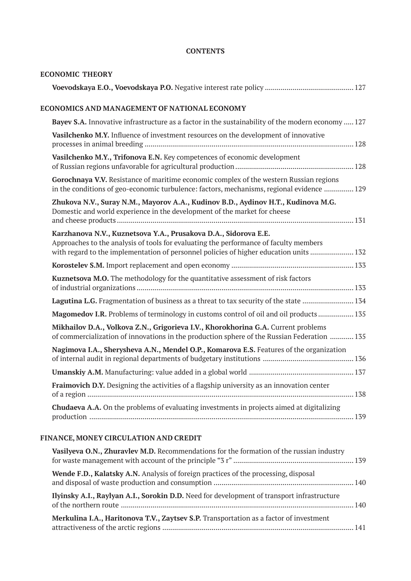### **CONTENTS**

| <b>ECONOMIC THEORY</b>                                                                                                                                                                                                                             |  |
|----------------------------------------------------------------------------------------------------------------------------------------------------------------------------------------------------------------------------------------------------|--|
|                                                                                                                                                                                                                                                    |  |
| ECONOMICS AND MANAGEMENT OF NATIONAL ECONOMY                                                                                                                                                                                                       |  |
| <b>Bayev S.A.</b> Innovative infrastructure as a factor in the sustainability of the modern economy  127                                                                                                                                           |  |
| Vasilchenko M.Y. Influence of investment resources on the development of innovative                                                                                                                                                                |  |
| Vasilchenko M.Y., Trifonova E.N. Key competences of economic development                                                                                                                                                                           |  |
| Gorochnaya V.V. Resistance of maritime economic complex of the western Russian regions<br>in the conditions of geo-economic turbulence: factors, mechanisms, regional evidence  129                                                                |  |
| Zhukova N.V., Suray N.M., Mayorov A.A., Kudinov B.D., Aydinov H.T., Kudinova M.G.<br>Domestic and world experience in the development of the market for cheese                                                                                     |  |
| Karzhanova N.V., Kuznetsova Y.A., Prusakova D.A., Sidorova E.E.<br>Approaches to the analysis of tools for evaluating the performance of faculty members<br>with regard to the implementation of personnel policies of higher education units  132 |  |
|                                                                                                                                                                                                                                                    |  |
| Kuznetsova M.O. The methodology for the quantitative assessment of risk factors                                                                                                                                                                    |  |
| Lagutina L.G. Fragmentation of business as a threat to tax security of the state  134                                                                                                                                                              |  |
| Magomedov I.R. Problems of terminology in customs control of oil and oil products  135                                                                                                                                                             |  |
| Mikhailov D.A., Volkova Z.N., Grigorieva I.V., Khorokhorina G.A. Current problems<br>of commercialization of innovations in the production sphere of the Russian Federation  135                                                                   |  |
| Nagimova I.A., Sherysheva A.N., Mendel O.P., Komarova E.S. Features of the organization                                                                                                                                                            |  |
|                                                                                                                                                                                                                                                    |  |
| Fraimovich D.Y. Designing the activities of a flagship university as an innovation center                                                                                                                                                          |  |
| <b>Chudaeva A.A.</b> On the problems of evaluating investments in projects aimed at digitalizing                                                                                                                                                   |  |

# **FINANCE, MONEY CIRCULATION AND CREDIT**

| Vasilyeva O.N., Zhuravlev M.D. Recommendations for the formation of the russian industry   |  |
|--------------------------------------------------------------------------------------------|--|
| Wende F.D., Kalatsky A.N. Analysis of foreign practices of the processing, disposal        |  |
| Ilyinsky A.I., Raylyan A.I., Sorokin D.D. Need for development of transport infrastructure |  |
| Merkulina I.A., Haritonova T.V., Zaytsev S.P. Transportation as a factor of investment     |  |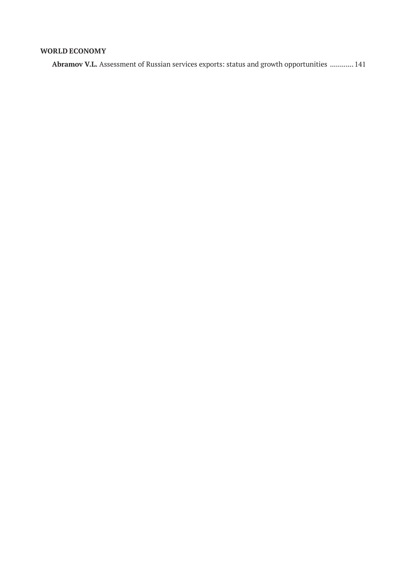# **WORLD ECONOMY**

**Abramov V.L.** Assessment of Russian services exports: status and growth opportunities ............ 141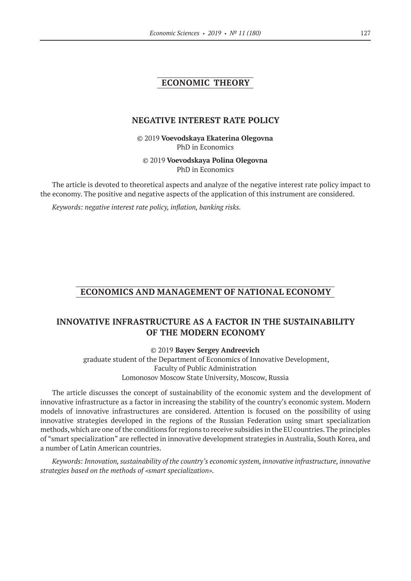### **ECONOMIC THEORY**

### **NEGATIVE INTEREST RATE POLICY**

©© 2019 **Voevodskaya Ekaterina Olegovna** PhD in Economics

©© 2019 **Voevodskaya Polina Olegovna** PhD in Economics

The article is devoted to theoretical aspects and analyze of the negative interest rate policy impact to the economy. The positive and negative aspects of the application of this instrument are considered.

*Keywords: negative interest rate policy, inflation, banking risks.*

# **ECONOMICS AND MANAGEMENT OF NATIONAL ECONOMY**

# **INNOVATIVE INFRASTRUCTURE AS A FACTOR IN THE SUSTAINABILITY OF THE MODERN ECONOMY**

©© 2019 **Bayev Sergey Andreevich**

graduate student of the Department of Economics of Innovative Development, Faculty of Public Administration Lomonosov Moscow State University, Moscow, Russia

The article discusses the concept of sustainability of the economic system and the development of innovative infrastructure as a factor in increasing the stability of the country's economic system. Modern models of innovative infrastructures are considered. Attention is focused on the possibility of using innovative strategies developed in the regions of the Russian Federation using smart specialization methods, which are one of the conditions for regions to receive subsidies in the EU countries. The principles of "smart specialization" are reflected in innovative development strategies in Australia, South Korea, and a number of Latin American countries.

*Keywords: Innovation, sustainability of the country's economic system, innovative infrastructure, innovative strategies based on the methods of «smart specialization».*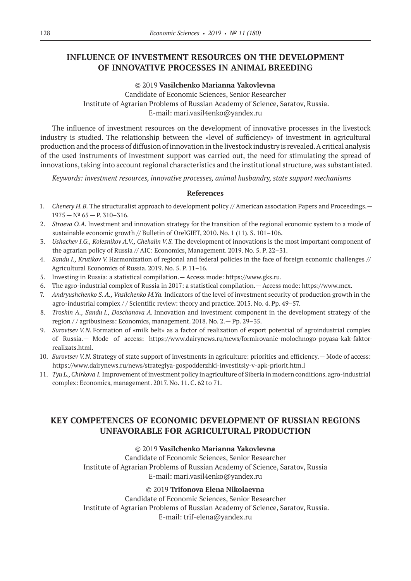# **INFLUENCE OF INVESTMENT RESOURCES ON THE DEVELOPMENT OF INNOVATIVE PROCESSES IN ANIMAL BREEDING**

### ©© 2019 **Vasilchenko Мarianna Yakovlevna**

Сandidate of Economic Sciences, Senior Researcher Institute of Agrarian Problems of Russian Academy of Science, Saratov, Russia. E‑mail: mari.vasil4enko@yandex.ru

The influence of investment resources on the development of innovative processes in the livestock industry is studied. The relationship between the «level of sufficiency» of investment in agricultural production and the process of diffusion of innovation in the livestock industry is revealed. A critical analysis of the used instruments of investment support was carried out, the need for stimulating the spread of innovations, taking into account regional characteristics and the institutional structure, was substantiated.

*Keywords: investment resources, innovative processes, animal husbandry, state support mechanisms*

### **References**

- 1. *Chenery H.B.* The structuralist approach to development policy // American association Papers and Proceedings.—  $1975 - N^{\circ} 65 - P. 310 - 316.$
- 2. *Stroeva O.A.* Investment and innovation strategy for the transition of the regional economic system to a mode of sustainable economic growth // Bulletin of OrelGIET, 2010. No. 1 (11). S. 101–106.
- 3. *Ushachev I.G., Kolesnikov A.V., Chekalin V.S.* The development of innovations is the most important component of the agrarian policy of Russia // AIC: Economics, Management. 2019. No. 5. P. 22–31.
- 4. *Sandu I., Krutikov V.* Harmonization of regional and federal policies in the face of foreign economic challenges // Agricultural Economics of Russia. 2019. No. 5. P. 11–16.
- 5. Investing in Russia: a statistical compilation.— Access mode: https://www.gks.ru.
- 6. The agro-industrial complex of Russia in 2017: a statistical compilation.— Access mode: https://www.mcx.
- 7. *Andryushchenko S. A., Vasilchenko M.Ya.* Indicators of the level of investment security of production growth in the agro-industrial complex / / Scientific review: theory and practice. 2015. No. 4. Pp. 49–57.
- 8. *Troshin A., Sandu I., Doschanova A.* Innovation and investment component in the development strategy of the region / / agribusiness: Economics, management. 2018. No. 2.— Pp. 29–35.
- 9. *Surovtsev V.N.* Formation of «milk belt» as a factor of realization of export potential of agroindustrial complex of Russia.— Mode of access: https://www.dairynews.ru/news/formirovanie-molochnogo-poyasa-kak-faktorrealizats.html.
- 10. *Surovtsev V.N.* Strategy of state support of investments in agriculture: priorities and efficiency.— Mode of access: https://www.dairynews.ru/news/strategiya-gospodderzhki-investitsiy-v-apk-priorit.htm.l
- 11. *Tyu L., Chirkova I.* Improvement of investment policy in agriculture of Siberia in modern conditions. agro-industrial complex: Economics, management. 2017. No. 11. C. 62 to 71.

# **KEY COMPETENCES OF ECONOMIC DEVELOPMENT OF RUSSIAN REGIONS UNFAVORABLE FOR AGRICULTURAL PRODUCTION**

### ©© 2019 **Vasilchenko Мarianna Yakovlevna**

Сandidate of Economic Sciences, Senior Researcher Institute of Agrarian Problems of Russian Academy of Science, Saratov, Russia E‑mail: mari.vasil4enko@yandex.ru

### ©© 2019 **Trifonova Elena Nikolaevna**

Сandidate of Economic Sciences, Senior Researcher Institute of Agrarian Problems of Russian Academy of Science, Saratov, Russia. Е‑mail: trif-elena@yandex.ru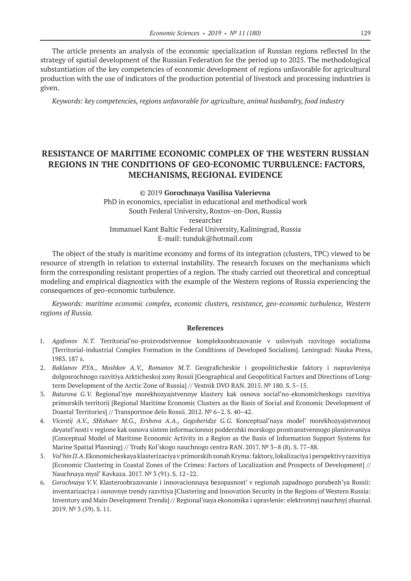The article presents an analysis of the economic specialization of Russian regions reflected In the strategy of spatial development of the Russian Federation for the period up to 2025. The methodological substantiation of the key competencies of economic development of regions unfavorable for agricultural production with the use of indicators of the production potential of livestock and processing industries is given.

*Keywords: key competencies, regions unfavorable for agriculture, animal husbandry, food industry*

# **RESISTANCE OF MARITIME ECONOMIC COMPLEX OF THE WESTERN RUSSIAN REGIONS IN THE CONDITIONS OF GEO-ECONOMIC TURBULENCE: FACTORS, MECHANISMS, REGIONAL EVIDENCE**

# ©© 2019 **Gorochnaya Vasilisa Valerievna** PhD in economics, specialist in educational and methodical work South Federal University, Rostov-on-Don, Russia

researcher Immanuel Kant Baltic Federal University, Kaliningrad, Russia Е‑mail: tunduk@hotmail.com

The object of the study is maritime economy and forms of its integration (clusters, TPC) viewed to be resource of strength in relation to external instability. The research focuses on the mechanisms which form the corresponding resistant properties of a region. The study carried out theoretical and conceptual modeling and empirical diagnostics with the example of the Western regions of Russia experiencing the consequences of geo-economic turbulence.

*Keywords: maritime economic complex, economic clusters, resistance, geo-economic turbulence, Western regions of Russia.*

- 1. *Agafonov N.T.* Territorial'no-proizvodstvennoe kompleksoobrazovanie v usloviyah razvitogo socializma [Territorial-industrial Сomplex Formation in the Conditions of Developed Socialism]. Leningrad: Nauka Press, 1983. 187 s.
- 2. *Baklanov P.YA., Moshkov A.V., Romanov M.T.* Geograficheskie i geopoliticheskie faktory i napravleniya dolgosrochnogo razvitiya Arkticheskoj zony Rossii [Geographical and Geopolitical Factors and Directions of Longterm Development of the Arctic Zone of Russia] // Vestnik DVO RAN. 2015. № 180. S. 5–15.
- 3. *Baturova G.V.*  Regional'nye morekhozyajstvennye klastery kak osnova social'no-ekonomicheskogo razvitiya primorskih territorij [Regional Maritime Economic Clusters as the Basis of Social and Economic Development of Doastal Territories] // Transportnoe delo Rossii. 2012. № 6–2. S. 40–42.
- 4. *Vicentij A.V., SHishaev M.G., Ershova A.A., Gogoberidze G.G.*  Konceptual'naya model' morekhozyajstvennoj deyatel'nosti v regione kak osnova sistem informacionnoj podderzhki morskogo prostranstvennogo planirovaniya [Conceptual Model of Maritime Economic Activity in a Region as the Basis of Information Support Systems for Marine Spatial Planning] // Trudy Kol'skogo nauchnogo centra RAN. 2017. № 3–8 (8). S. 77–88.
- 5. *Vol'hin D.A*. Ekonomicheskaya klasterizaciya v primorskih zonah Kryma: faktory, lokalizaciya i perspektivy razvitiya [Economic Clustering in Coastal Zones of the Crimea: Factors of Localization and Prospects of Development] // Nauchnaya mysl' Kavkaza. 2017. № 3 (91). S. 12–22.
- 6. *Gorochnaya V.V.* Klasteroobrazovanie i innovacionnaya bezopasnost' v regionah zapadnogo porubezh'ya Rossii: inventarizaciya i osnovnye trendy razvitiya [Clustering and Innovation Security in the Regions of Western Russia: Inventory and Main Development Trends] // Regional'naya ekonomika i upravlenie: elektronnyj nauchnyj zhurnal. 2019. № 3 (59). S. 11.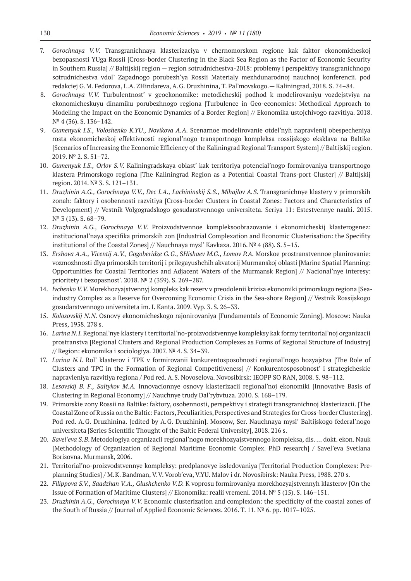- 7. *Gorochnaya V.V.*  Transgranichnaya klasterizaciya v chernomorskom regione kak faktor ekonomicheskoj bezopasnosti YUga Rossii [Cross-border Clustering in the Black Sea Region as the Factor of Economic Security in Southern Russia] // Baltijskij region — region sotrudnichestva-2018: problemy i perspektivy transgranichnogo sotrudnichestva vdol' Zapadnogo porubezh'ya Rossii Materialy mezhdunarodnoj nauchnoj konferencii. pod redakciej G.M. Fedorova, L.A. ZHindareva, A.G. Druzhinina, T. Pal'movskogo.— Kaliningrad, 2018. S. 74–84.
- 8. *Gorochnaya V.V.*  Turbulentnost' v geoekonomike: metodicheskij podhod k modelirovaniyu vozdejstviya na ekonomicheskuyu dinamiku porubezhnogo regiona [Turbulence in Geo-economics: Methodical Approach to Modeling the Impact on the Economic Dynamics of a Border Region] // Ekonomika ustojchivogo razvitiya. 2018. № 4 (36). S. 136–142.
- 9. *Gumenyuk I.S., Voloshenko K.YU., Novikova A.A.* Scenarnoe modelirovanie otdel'nyh napravlenij obespecheniya rosta ekonomicheskoj effektivnosti regional'nogo transportnogo kompleksa rossijskogo eksklava na Baltike [Scenarios of Increasing the Economic Efficiency of the Kaliningrad Regional Transport System] // Baltijskij region. 2019. № 2. S. 51–72.
- 10. *Gumenyuk I.S., Orlov S.V.* Kaliningradskaya oblast' kak territoriya potencial'nogo formirovaniya transportnogo klastera Primorskogo regiona [The Kaliningrad Region as a Potential Coastal Trans-port Cluster] // Baltijskij region. 2014. № 3. S. 121–131.
- 11. *Druzhinin A.G., Gorochnaya V.V., Dec I.A., Lachininskij S.S., Mihajlov A.S.* Transgranichnye klastery v primorskih zonah: faktory i osobennosti razvitiya [Cross-border Clusters in Coastal Zones: Factors and Characteristics of Development] // Vestnik Volgogradskogo gosudarstvennogo universiteta. Seriya 11: Estestvennye nauki. 2015. № 3 (13). S. 68–79.
- 12. *Druzhinin A.G., Gorochnaya V.V.*  Proizvodstvennoe kompleksoobrazovanie i ekonomicheskij klasterogenez: institucional'naya specifika primorskih zon [Industrial Complexation and Economic Clusterisation: the Specifity institutional of the Coastal Zones] // Nauchnaya mysl' Kavkaza. 2016.  $N<sup>o</sup>$  4 (88). S. 5–15.
- 13. *Ershova A.A., Vicentij A.V., Gogoberidze G.G.,* S*Hishaev M.G., Lomov P.A.* Morskoe prostranstvennoe planirovanie: vozmozhnosti dlya primorskih territorij i prilegayushchih akvatorij Murmanskoj oblasti [Marine Spatial Planning: Opportunities for Coastal Territories and Adjacent Waters of the Murmansk Region] // Nacional'nye interesy: prioritety i bezopasnost'. 2018. № 2 (359). S. 269–287.
- 14. *Ivchenko V.V.* Morekhozyajstvennyj kompleks kak rezerv v preodolenii krizisa ekonomiki primorskogo regiona [Seaindustry Complex as a Reserve for Overcoming Economic Crisis in the Sea-shore Region] // Vestnik Rossijskogo gosudarstvennogo universiteta im. I. Kanta. 2009. Vyp. 3. S. 26–33.
- 15. *Kolosovskij N.N.* Osnovy ekonomicheskogo rajonirovaniya [Fundamentals of Economic Zoning]. Moscow: Nauka Press, 1958. 278 s.
- 16. *Larina N.I.* Regional'nye klastery i territorial'no-proizvodstvennye kompleksy kak formy territorial'noj organizacii prostranstva [Regional Clusters and Regional Production Complexes as Forms of Regional Structure of Industry] // Region: ekonomika i sociologiya. 2007. № 4. S. 34–39.
- 17. *Larina N.I.*  Rol' klasterov i TPK v formirovanii konkurentosposobnosti regional'nogo hozyajstva [The Role of Clusters and TPC in the Formation of Regional Competitiveness] // Konkurentosposobnost' i strategicheskie napravleniya razvitiya regiona / Pod red. A.S. Novoselova. Novosibirsk: IEOPP SO RAN, 2008. S. 98–112.
- 18. *Lesovskij B. F., Saltykov M.A.*  Innovacionnye osnovy klasterizacii regional'noj ekonomiki [Innovative Basis of Clustering in Regional Economy] // Nauchnye trudy Dal'rybvtuza. 2010. S. 168–179.
- 19. Primorskie zony Rossii na Baltike: faktory, osobennosti, perspektivy i strategii transgranichnoj klasterizacii. [The Coastal Zone of Russia on the Baltic: Factors, Peculiarities, Perspectives and Strategies for Cross-border Clustering]. Pod red. A.G. Druzhinina. [edited by A.G. Druzhinin]. Moscow, Ser. Nauchnaya mysl' Baltijskogo federal'nogo universiteta [Series Scientific Thought of the Baltic Federal University], 2018. 216 s.
- 20. *Savel'eva S.B*. Metodologiya organizacii regional'nogo morekhozyajstvennogo kompleksa, dis. … dokt. ekon. Nauk [Methodology of Organization of Regional Maritime Economic Complex. PhD research] / Savel'eva Svetlana Borisovna. Murmansk, 2006.
- 21. Territorial'no-proizvodstvennye kompleksy: predplanovye issledovaniya [Territorial Production Complexes: Preplanning Studies] / M.K. Bandman, V.V. Vorob'eva, V.YU. Malov i dr. Novosibirsk: Nauka Press, 1988. 270 s.
- 22. *Filippova S.V., Saadzhan V.A., Glushchenko V.D.* K voprosu formirovaniya morekhozyajstvennyh klasterov [On the Issue of Formation of Maritime Clusters] // Ekonomika: realii vremeni. 2014. № 5 (15). S. 146–151.
- 23. *Druzhinin A.G., Gorochnaya V.V.* Economic clusterization and complexion: the specificity of the coastal zones of the South of Russia // Journal of Applied Economic Sciences. 2016. Т. 11. № 6. рр. 1017–1025.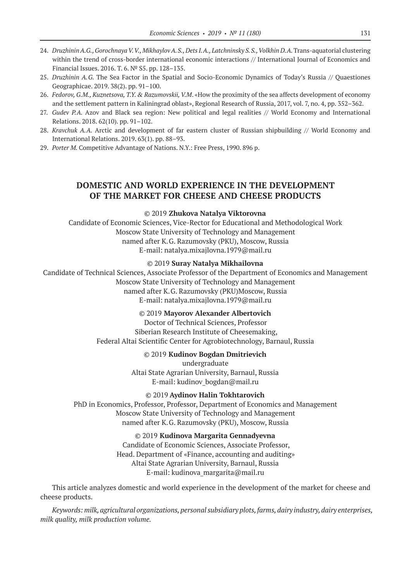- 24. *Druzhinin A.G., Gorochnaya V.V., Mikhaylov A.S., Dets I.A., Latchninsky S.S., Volkhin D.A.* Trans-aquatorial clustering within the trend of cross-border international economic interactions // International Journal of Economics and Financial Issues. 2016. Т. 6. № S5. рр. 128–135.
- 25. *Druzhinin A.G.* The Sea Factor in the Spatial and Socio-Economic Dynamics of Today's Russia // Quaestiones Geographicae. 2019. 38(2). рр. 91–100.
- 26. *Fedorov, G.M., Kuznetsova, T.Y. & Razumovskii, V.M*. «How the proximity of the sea affects development of economy and the settlement pattern in Kaliningrad oblast», Regional Research of Russia, 2017, vol. 7, no. 4, pp. 352–362.
- 27. *Gudev P.A. Azov and Black sea region: New political and legal realities // World Economy and International* Relations. 2018. 62(10). рр. 91–102.
- 28. *Kravchuk A.A.*  Arctic and development of far eastern cluster of Russian shipbuilding // World Economy and International Relations. 2019. 63(1). pp. 88–93.
- 29. *Porter M.* Competitive Advantage of Nations. N.Y.: Free Press, 1990. 896 p.

### **DOMESTIC AND WORLD EXPERIENCE IN THE DEVELOPMENT OF THE MARKET FOR CHEESE AND CHEESE PRODUCTS**

#### ©© 2019 **Zhukova Natalya Viktorovna**

Candidate of Economic Sciences, Vice-Rector for Educational and Methodological Work Moscow State University of Technology and Management named after K.G. Razumovsky (PKU), Moscow, Russia E‑mail: natalya.mixajlovna.1979@mail.ru

### ©© 2019 **Suray Natalya Mikhailovna**

Candidate of Technical Sciences, Associate Professor of the Department of Economics and Management Moscow State University of Technology and Management named after K.G. Razumovsky (PKU)Moscow, Russia E‑mail: natalya.mixajlovna.1979@mail.ru

### ©© 2019 **Mayorov Alexander Albertovich**

Doctor of Technical Sciences, Professor Siberian Research Institute of Cheesemaking, Federal Altai Scientific Center for Agrobiotechnology, Barnaul, Russia

#### ©© 2019 **Kudinov Bogdan Dmitrievich**

undergraduate Altai State Agrarian University, Barnaul, Russia E-mail: kudinov bogdan@mail.ru

### ©© 2019 **Aydinov Halin Tokhtarovich**

PhD in Economics, Professor, Professor, Department of Economics and Management Moscow State University of Technology and Management named after K.G. Razumovsky (PKU), Moscow, Russia

#### ©© 2019 **Kudinova Margarita Gennadyevna**

Candidate of Economic Sciences, Associate Professor, Head. Department of «Finance, accounting and auditing» Altai State Agrarian University, Barnaul, Russia E-mail: kudinova margarita@mail.ru

This article analyzes domestic and world experience in the development of the market for cheese and cheese products.

*Keywords: milk, agricultural organizations, personal subsidiary plots, farms, dairy industry, dairy enterprises, milk quality, milk production volume.*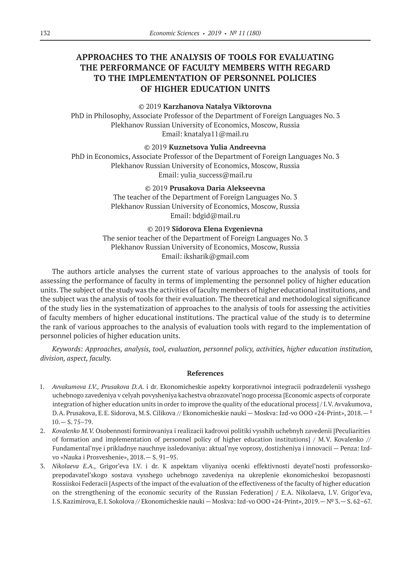# **APPROACHES TO THE ANALYSIS OF TOOLS FOR EVALUATING THE PERFORMANCE OF FACULTY MEMBERS WITH REGARD TO THE IMPLEMENTATION OF PERSONNEL POLICIES OF HIGHER EDUCATION UNITS**

### ©© 2019 **Karzhanova Natalya Viktorovna**

PhD in Philosophy, Associate Professor of the Department of Foreign Languages No. 3 Plekhanov Russian University of Economics, Moscow, Russia Email: knatalya11@mail.ru

©© 2019 **Kuznetsova Yulia Andreevna**

PhD in Economics, Associate Professor of the Department of Foreign Languages No. 3 Plekhanov Russian University of Economics, Moscow, Russia Email: yulia\_success@mail.ru

### ©© 2019 **Prusakova Daria Alekseevna**

The teacher of the Department of Foreign Languages No. 3 Plekhanov Russian University of Economics, Moscow, Russia Email: bdgid@mail.ru

©© 2019 **Sidorova Elena Evgenievna**

The senior teacher of the Department of Foreign Languages No. 3 Plekhanov Russian University of Economics, Moscow, Russia Email: iksharik@gmail.com

The authors article analyses the current state of various approaches to the analysis of tools for assessing the performance of faculty in terms of implementing the personnel policy of higher education units. The subject of the study was the activities of faculty members of higher educational institutions, and the subject was the analysis of tools for their evaluation. The theoretical and methodological significance of the study lies in the systematization of approaches to the analysis of tools for assessing the activities of faculty members of higher educational institutions. The practical value of the study is to determine the rank of various approaches to the analysis of evaluation tools with regard to the implementation of personnel policies of higher education units.

*Keywords: Approaches, analysis, tool, evaluation, personnel policy, activities, higher education institution, division, aspect, faculty.*

- 1. *Avvakumova I.V., Prusakova D.A.* i dr. Ekonomicheskie aspekty korporativnoi integracii podrazdelenii vysshego uchebnogo zavedeniya v celyah povysheniya kachestva obrazovatel'nogo processa [Economic aspects of corporate integration of higher education units in order to improve the quality of the educational process] / I.V. Avvakumova, D.A. Prusakova, E.E. Sidorova, M.S. Cilikova // Ekonomicheskie nauki — Moskva: Izd-vo OOO «24-Print», 2018. — <sup>1</sup>  $10.-S.75-79.$
- 2. *Kovalenko M.V.* Osobennosti formirovaniya i realizacii kadrovoi politiki vysshih uchebnyh zavedenii [Peculiarities of formation and implementation of personnel policy of higher education institutions]  $/$  M.V. Kovalenko  $//$ Fundamental'nye i prikladnye nauchnye issledovaniya: aktual'nye voprosy, dostizheniya i innovacii — Penza: Izdvo «Nauka i Prosveshenie», 2018.— S. 91–95.
- 3. *Nikolaeva E.A.,* Grigor'eva I.V. i dr. K aspektam vliyaniya ocenki effektivnosti deyatel'nosti professorskoprepodavatel'skogo sostava vysshego uchebnogo zavedeniya na ukreplenie ekonomicheskoi bezopasnosti Rossiiskoi Federacii [Aspects of the impact of the evaluation of the effectiveness of the faculty of higher education on the strengthening of the economic security of the Russian Federation] / E.A. Nikolaeva, I.V. Grigor'eva, I.S. Kazimirova, E.I. Sokolova // Ekonomicheskie nauki — Moskva: Izd-vo OOO «24-Print», 2019.— № 3.— S. 62–67.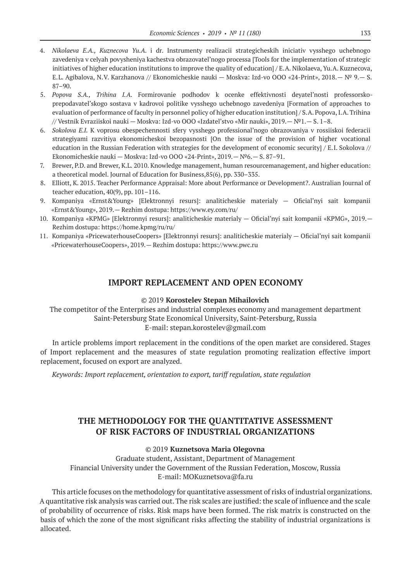- 4. *Nikolaeva E.A., Kuznecova Yu.A.* i dr. Instrumenty realizacii strategicheskih iniciativ vysshego uchebnogo zavedeniya v celyah povysheniya kachestva obrazovatel'nogo processa [Tools for the implementation of strategic initiatives of higher education institutions to improve the quality of education] / E.A. Nikolaeva, Yu.A. Kuznecova, E.L. Agibalova, N.V. Karzhanova // Ekonomicheskie nauki — Moskva: Izd-vo OOO «24-Print», 2018.— № 9.— S. 87–90.
- 5. *Popova S.A., Trihina I.A.*  Formirovanie podhodov k ocenke effektivnosti deyatel'nosti professorskoprepodavatel'skogo sostava v kadrovoi politike vysshego uchebnogo zavedeniya [Formation of approaches to evaluation of performance of faculty in personnel policy of higher education institution] / S.A. Popova, I.A. Trihina // Vestnik Evraziiskoi nauki — Moskva: Izd-vo OOO «Izdatel'stvo «Mir nauki», 2019.— №1.— S. 1–8.
- 6. *Sokolova E.I.* K voprosu obespechennosti sfery vysshego professional'nogo obrazovaniya v rossiiskoi federacii strategiyami razvitiya ekonomicheskoi bezopasnosti [On the issue of the provision of higher vocational education in the Russian Federation with strategies for the development of economic security] / E.I. Sokolova // Ekonomicheskie nauki — Moskva: Izd-vo OOO «24-Print», 2019.— №6.— S. 87–91.
- 7. Brewer, P.D. and Brewer, K.L. 2010. Knowledge management, human resourcemanagement, and higher education: a theoretical model. Journal of Education for Business,85(6), pp. 330–335.
- 8. Elliott, K. 2015. Teacher Performance Appraisal: More about Performance or Development?. Australian Journal of teacher education, 40(9), pp. 101–116.
- 9. Kompaniya «Ernst&Young» [Elektronnyi resurs]: analiticheskie materialy Oficial'nyi sait kompanii «Ernst&Young», 2019.— Rezhim dostupa: https://www.ey.com/ru/
- 10. Kompaniya «KPMG» [Elektronnyi resurs]: analiticheskie materialy Oficial'nyi sait kompanii «KPMG», 2019.— Rezhim dostupa: https://home.kpmg/ru/ru/
- 11. Kompaniya «PricewaterhouseCoopers» [Elektronnyi resurs]: analiticheskie materialy Oficial'nyi sait kompanii «PricewaterhouseCoopers», 2019.— Rezhim dostupa: https://www.pwc.ru

### **IMPORT REPLACEMENT AND OPEN ECONOMY**

### ©© 2019 **Korostelev Stepan Mihailovich**

The competitor of the Enterprises and industrial complexes economy and management department Saint-Petersburg State Economical University, Saint-Petersburg, Russia E‑mail: stepan.korostelev@gmail.com

In article problems import replacement in the conditions of the open market are considered. Stages of Import replacement and the measures of state regulation promoting realization effective import replacement, focused on export are analyzed.

*Keywords: Import replacement, orientation to export, tariff regulation, state regulation*

# **THE METHODOLOGY FOR THE QUANTITATIVE ASSESSMENT OF RISK FACTORS OF INDUSTRIAL ORGANIZATIONS**

### ©© 2019 **Kuznetsova Maria Olegovna**

Graduate student, Assistant, Department of Management Financial University under the Government of the Russian Federation, Moscow, Russia E-mail: MOKuznetsova@fa.ru

This article focuses on the methodology for quantitative assessment of risks of industrial organizations. A quantitative risk analysis was carried out. The risk scales are justified: the scale of influence and the scale of probability of occurrence of risks. Risk maps have been formed. The risk matrix is constructed on the basis of which the zone of the most significant risks affecting the stability of industrial organizations is allocated.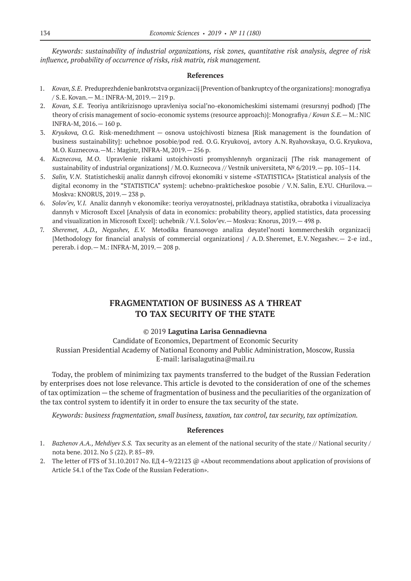*Keywords: sustainability of industrial organizations, risk zones, quantitative risk analysis, degree of risk influence, probability of occurrence of risks, risk matrix, risk management.*

#### **References**

- 1. *Kovan, S.E*. Preduprezhdenie bankrotstva organizacij [Prevention of bankruptcy of the organizations]: monografiya / S.E. Kovan.— M.: INFRA-M, 2019.— 219 p.
- 2. *Kovan, S.E*. Teoriya antikrizisnogo upravleniya social'no-ekonomicheskimi sistemami (resursnyj podhod) [The theory of crisis management of socio-economic systems (resource approach)]: Monografiya / *Kovan S.E.*— M.: NIC INFRA-M, 2016.— 160 p.
- 3. *Kryukova, O.G*. Risk-menedzhment osnova ustojchivosti biznesa [Risk management is the foundation of business sustainability]: uchebnoe posobie/pod red. O.G. Kryukovoj, avtory A.N. Ryahovskaya, O.G. Kryukova, M.O. Kuznecova.—M.: Magistr, INFRA-M, 2019.— 256 p.
- 4. *Kuznecova, M.O*. Upravlenie riskami ustojchivosti promyshlennyh organizacij [The risk management of sustainability of industrial organizations] / M.O. Kuznecova // Vestnik universiteta, № 6/2019.— pp. 105–114.
- 5. *Salin, V.N*. Statisticheskij analiz dannyh cifrovoj ekonomiki v sisteme «STATISTICA» [Statistical analysis of the digital economy in the "STATISTICA" system]: uchebno-prakticheskoe posobie / V.N. Salin, E.YU. CHurilova. -Moskva: KNORUS, 2019.— 238 p.
- 6. *Solov'ev, V.I.* Analiz dannyh v ekonomike: teoriya veroyatnostej, prikladnaya statistika, obrabotka i vizualizaciya dannyh v Microsoft Excel [Analysis of data in economics: probability theory, applied statistics, data processing and visualization in Microsoft Excel]: uchebnik / V.I. Solov'ev.— Moskva: Knorus, 2019.— 498 p.
- 7. *Sheremet, A.D., Negashev, E.V.* Metodika finansovogo analiza deyatel'nosti kommercheskih organizacij [Methodology for financial analysis of commercial organizations] / A.D. Sheremet, E.V. Negashev.— 2-e izd., pererab. i dop.— M.: INFRA-M, 2019.— 208 p.

## **FRAGMENTATION OF BUSINESS AS A THREAT TO TAX SECURITY OF THE STATE**

### ©© 2019 **Lagutina Larisa Gennadievna**

Candidate of Economics, Department of Economic Security Russian Presidential Academy of National Economy and Public Administration, Moscow, Russia E-mail: larisalagutina@mail.ru

Today, the problem of minimizing tax payments transferred to the budget of the Russian Federation by enterprises does not lose relevance. This article is devoted to the consideration of one of the schemes of tax optimization — the scheme of fragmentation of business and the peculiarities of the organization of the tax control system to identify it in order to ensure the tax security of the state.

*Keywords: business fragmentation, small business, taxation, tax control, tax security, tax optimization.*

- 1. *Bazhenov A.A., Mehdiyev S.S.* Tax security as an element of the national security of the state // National security / nota bene. 2012. No 5 (22). P. 85–89.
- 2. The letter of FTS of 31.10.2017 No. EL 4–9/22123 @ «About recommendations about application of provisions of Article 54.1 of the Tax Code of the Russian Federation».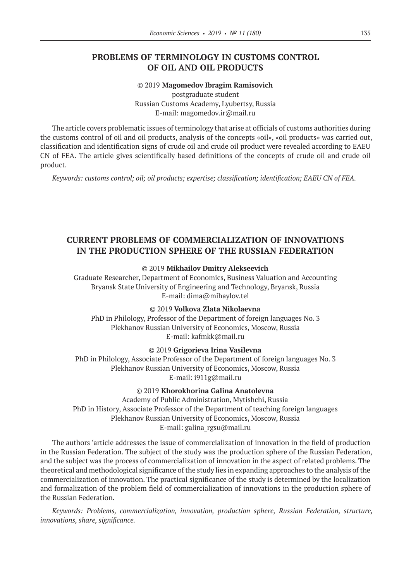### **PROBLEMS OF TERMINOLOGY IN CUSTOMS CONTROL OF OIL AND OIL PRODUCTS**

©© 2019 **Magomedov Ibragim Ramisovich** postgraduate student Russian Customs Academy, Lyubertsy, Russia E-mail: magomedov.ir@mail.ru

The article covers problematic issues of terminology that arise at officials of customs authorities during the customs control of oil and oil products, analysis of the concepts «oil», «oil products» was carried out, classification and identification signs of crude oil and crude oil product were revealed according to EAEU CN of FEA. The article gives scientifically based definitions of the concepts of crude oil and crude oil product.

*Keywords: customs control; oil; oil products; expertise; classification; identification; EAEU CN of FEA.*

### **CURRENT PROBLEMS OF COMMERCIALIZATION OF INNOVATIONS IN THE PRODUCTION SPHERE OF THE RUSSIAN FEDERATION**

©© 2019 **Mikhailov Dmitry Alekseevich**

Graduate Researcher, Department of Economics, Business Valuation and Accounting Bryansk State University of Engineering and Technology, Bryansk, Russia E-mail: dima@mihaylov.tel

©© 2019 **Volkova Zlata Nikolaevna**

PhD in Philology, Professor of the Department of foreign languages No. 3 Plekhanov Russian University of Economics, Moscow, Russia E‑mail: kafmkk@mail.ru

©© 2019 **Grigorieva Irina Vasilevna** PhD in Philology, Associate Professor of the Department of foreign languages No. 3 Plekhanov Russian University of Economics, Moscow, Russia E-mail: i911g@mail.ru

©© 2019 **Khorokhorina Galina Anatolevna** Academy of Public Administration, Mytishchi, Russia PhD in History, Associate Professor of the Department of teaching foreign languages Plekhanov Russian University of Economics, Moscow, Russia

E‑mail: galina\_rgsu@mail.ru

The authors 'article addresses the issue of commercialization of innovation in the field of production in the Russian Federation. The subject of the study was the production sphere of the Russian Federation, and the subject was the process of commercialization of innovation in the aspect of related problems. The theoretical and methodological significance of the study lies in expanding approaches to the analysis of the commercialization of innovation. The practical significance of the study is determined by the localization and formalization of the problem field of commercialization of innovations in the production sphere of the Russian Federation.

*Keywords: Problems, commercialization, innovation, production sphere, Russian Federation, structure, innovations, share, significance.*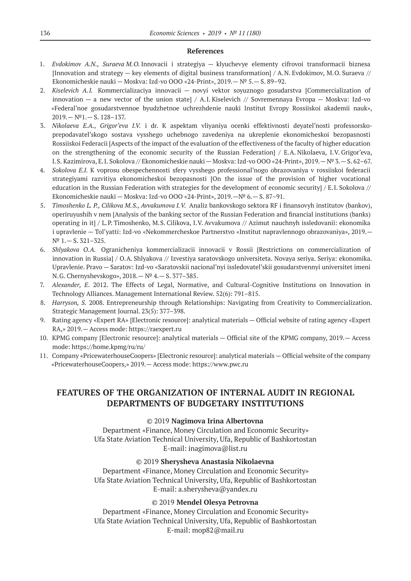#### **References**

- 1. *Evdokimov A.N., Suraeva M.O.* Innovacii i strategiya klyuchevye elementy cifrovoi transformacii biznesa [Innovation and strategy — key elements of digital business transformation] / A.N. Evdokimov, M.O. Suraeva // Ekonomicheskie nauki — Moskva: Izd-vo OOO «24-Print», 2019.— № 5.— S. 89–92.
- 2. *Kiselevich A.I.* Kommercializaciya innovacii novyi vektor soyuznogo gosudarstva [Commercialization of innovation — a new vector of the union state] / A.I. Kiselevich // Sovremennaya Evropa — Moskva: Izd-vo «Federal'noe gosudarstvennoe byudzhetnoe uchrezhdenie nauki Institut Evropy Rossiiskoi akademii nauk»,  $2019 - N^21 - S. 128 - 137.$
- 3. *Nikolaeva E.A., Grigor'eva I.V.* i dr. K aspektam vliyaniya ocenki effektivnosti deyatel'nosti professorskoprepodavatel'skogo sostava vysshego uchebnogo zavedeniya na ukreplenie ekonomicheskoi bezopasnosti Rossiiskoi Federacii [Aspects of the impact of the evaluation of the effectiveness of the faculty of higher education on the strengthening of the economic security of the Russian Federation]  $/$  E.A. Nikolaeva, I.V. Grigor'eva, I.S. Kazimirova, E.I. Sokolova // Ekonomicheskie nauki—Moskva: Izd-vo OOO «24-Print», 2019.— № 3.—S. 62–67.
- 4. *Sokolova E.I.* K voprosu obespechennosti sfery vysshego professional'nogo obrazovaniya v rossiiskoi federacii strategiyami razvitiya ekonomicheskoi bezopasnosti [On the issue of the provision of higher vocational education in the Russian Federation with strategies for the development of economic security] / E.I. Sokolova // Ekonomicheskie nauki — Moskva: Izd-vo OOO «24-Print», 2019.—№ 6.— S. 87–91.
- 5. *Timoshenko L. P., Cilikova M.S., Avvakumova I.V.* Analiz bankovskogo sektora RF i finansovyh institutov (bankov), operiruyushih v nem [Analysis of the banking sector of the Russian Federation and financial institutions (banks) operating in it] / L.P. Timoshenko, M.S. Cilikova, I.V. Avvakumova // Azimut nauchnyh issledovanii: ekonomika i upravlenie — Tol'yatti: Izd-vo «Nekommercheskoe Partnerstvo «Institut napravlennogo obrazovaniya», 2019.— № 1.— S. 321–325.
- 6. *Shlyakova O.A.* Ogranicheniya kommercializacii innovacii v Rossii [Restrictions on commercialization of innovation in Russia] / O.A. Shlyakova // Izvestiya saratovskogo universiteta. Novaya seriya. Seriya: ekonomika. Upravlenie. Pravo — Saratov: Izd-vo «Saratovskii nacional'nyi issledovatel'skii gosudarstvennyi universitet imeni N.G. Chernyshevskogo», 2018.— № 4.— S. 377–385.
- 7. *Alexander, E*. 2012. The Effects of Legal, Normative, and Cultural-Cognitive Institutions on Innovation in Technology Alliances. Management International Review. 52(6): 791–815.
- 8. *Harryson, S.* 2008. Entrepreneurship through Relationships: Navigating from Creativity to Commercialization. Strategic Management Journal. 23(5): 377–398.
- 9. Rating agency «Expert RA» [Electronic resource]: analytical materials Official website of rating agency «Expert RA,» 2019.— Access mode: https://raexpert.ru
- 10. KPMG company [Electronic resource]: analytical materials Official site of the KPMG company, 2019.— Access mode: https://home.kpmg/ru/ru/
- 11. Company «PricewaterhouseCoopers» [Electronic resource]: analytical materials Official website of the company «PricewaterhouseCoopers,» 2019.— Access mode: https://www.pwc.ru

# **FEATURES OF THE ORGANIZATION OF INTERNAL AUDIT IN REGIONAL DEPARTMENTS OF BUDGETARY INSTITUTIONS**

### ©© 2019 **Nagimova Irina Albertovna**

Department «Finance, Money Circulation and Economic Security» Ufa State Aviation Technical University, Ufa, Republic of Bashkortostan E-mail: inagimova@list.ru

#### ©© 2019 **Sherysheva Anastasia Nikolaevna**

Department «Finance, Money Circulation and Economic Security» Ufa State Aviation Technical University, Ufa, Republic of Bashkortostan E‑mail: a.sherysheva@yandex.ru

### ©© 2019 **Mendel Olesya Petrovna**

Department «Finance, Money Circulation and Economic Security» Ufa State Aviation Technical University, Ufa, Republic of Bashkortostan E‑mail: mop82@mail.ru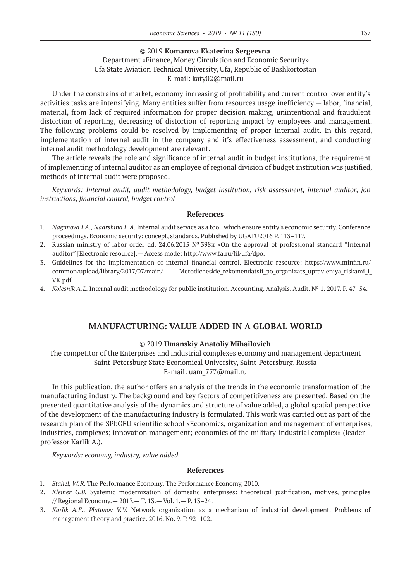### ©© 2019 **Komarova Ekaterina Sergeevna**

### Department «Finance, Money Circulation and Economic Security» Ufa State Aviation Technical University, Ufa, Republic of Bashkortostan E‑mail: katy02@mail.ru

Under the constrains of market, economy increasing of profitability and current control over entity's activities tasks are intensifying. Many entities suffer from resources usage inefficiency — labor, financial, material, from lack of required information for proper decision making, unintentional and fraudulent distortion of reporting, decreasing of distortion of reporting impact by employees and management. The following problems could be resolved by implementing of proper internal audit. In this regard, implementation of internal audit in the company and it's effectiveness assessment, and conducting internal audit methodology development are relevant.

The article reveals the role and significance of internal audit in budget institutions, the requirement of implementing of internal auditor as an employee of regional division of budget institution was justified, methods of internal audit were proposed.

*Keywords: Internal audit, audit methodology, budget institution, risk assessment, internal auditor, job instructions, financial control, budget control*

#### **References**

- 1. *Nagimova I.A., Nadrshina L.A.* Internal audit service as a tool, which ensure entity's economic security. Conference proceedings. Economic security: concept, standards. Published by UGATU2016 P. 113–117.
- 2. Russian ministry of labor order dd. 24.06.2015 № 398н «On the approval of professional standard "Internal auditor" [Electronic resource].— Access mode: http://www.fa.ru/fil/ufa/dpo.
- 3. Guidelines for the implementation of internal financial control. Electronic resource: https://www.minfin.ru/ common/upload/library/2017/07/main/ Metodicheskie\_rekomendatsii\_po\_organizats\_upravleniya\_riskami\_i\_ VK.pdf.
- 4. *Kolesnik A.L.* Internal audit methodology for public institution. Accounting. Analysis. Audit. № 1. 2017. P. 47–54.

### **MANUFACTURING: VALUE ADDED IN A GLOBAL WORLD**

### ©© 2019 **Umanskiy Anatoliy Mihailovich**

The competitor of the Enterprises and industrial complexes economy and management department Saint-Petersburg State Economical University, Saint-Petersburg, Russia E‑mail: uam\_777@mail.ru

In this publication, the author offers an analysis of the trends in the economic transformation of the manufacturing industry. The background and key factors of competitiveness are presented. Based on the presented quantitative analysis of the dynamics and structure of value added, a global spatial perspective of the development of the manufacturing industry is formulated. This work was carried out as part of the research plan of the SPbGEU scientific school «Economics, organization and management of enterprises, industries, complexes; innovation management; economics of the military-industrial complex» (leader professor Karlik A.).

*Keywords: economy, industry, value added.*

- 1. *Stahel, W.R*. The Performance Economy. The Performance Economy, 2010.
- 2. *Kleiner G.B.* Systemic modernization of domestic enterprises: theoretical justification, motives, principles // Regional Economy.— 2017.— T. 13.— Vol. 1.— P. 13–24.
- 3. *Karlik A.E., Platonov V.V.*  Network organization as a mechanism of industrial development. Problems of management theory and practice. 2016. No. 9. P. 92–102.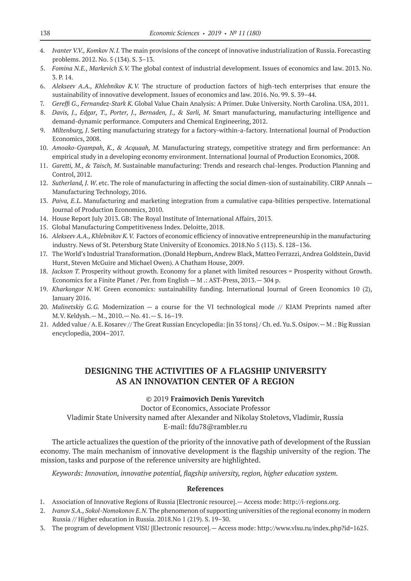- 4. *Ivanter V.V., Komkov N.I.* The main provisions of the concept of innovative industrialization of Russia. Forecasting problems. 2012. No. 5 (134). S. 3–13.
- 5. *Fomina N.E., Markevich S.V.* The global context of industrial development. Issues of economics and law. 2013. No. 3. P. 14.
- 6. *Alekseev A.A., Khlebnikov K.V.*  The structure of production factors of high-tech enterprises that ensure the sustainability of innovative development. Issues of economics and law. 2016. No. 99. S. 39–44.
- 7. *Gereffi G., Fernandez-Stark K.* Global Value Chain Analysis: A Primer. Duke University. North Carolina. USA, 2011.
- 8. *Davis, J., Edgar, T., Porter, J., Bernaden, J., & Sarli, M*. Smart manufacturing, manufacturing intelligence and demand-dynamic performance. Computers and Chemical Engineering, 2012.
- 9. *Miltenburg, J*. Setting manufacturing strategy for a factory-within-a-factory. International Journal of Production Economics, 2008.
- 10. *Amoako-Gyampah, K., & Acquaah, M.* Manufacturing strategy, competitive strategy and firm performance: An empirical study in a developing economy environment. International Journal of Production Economics, 2008.
- 11. *Garetti, M., & Taisch, M*. Sustainable manufacturing: Trends and research chal-lenges. Production Planning and Control, 2012.
- 12. *Sutherland, J. W*. etc. The role of manufacturing in affecting the social dimen-sion of sustainability. CIRP Annals Manufacturing Technology, 2016.
- 13. *Paiva, E.L*. Manufacturing and marketing integration from a cumulative capa-bilities perspective. International Journal of Production Economics, 2010.
- 14. House Report July 2013. GB: The Royal Institute of International Affairs, 2013.
- 15. Global Manufacturing Competitiveness Index. Deloitte, 2018.
- 16. Alekseev A.A., Khlebnikov K.V. Factors of economic efficiency of innovative entrepreneurship in the manufacturing industry. News of St. Petersburg State University of Economics. 2018.No 5 (113). S. 128–136.
- 17. The World's Industrial Transformation. (Donald Hepburn, Andrew Black, Matteo Ferrazzi, Andrea Goldstein, David Hurst, Steven McGuire and Michael Owen). A Chatham House, 2009.
- 18. *Jackson T.* Prosperity without growth. Economy for a planet with limited resources = Prosperity without Growth. Economics for a Finite Planet / Per. from English — M .: AST-Press, 2013.— 304 p.
- 19. *Kharkongor N.W.*  Green economics: sustainability funding. International Journal of Green Economics 10 (2), January 2016.
- 20. *Malinetskiy G.G.*  Modernization a course for the VI technological mode // KIAM Preprints named after M.V. Keldysh.— M., 2010.— No. 41.— S. 16–19.
- 21. Added value / A.E. Kosarev // The Great Russian Encyclopedia: [in 35 tons] / Ch. ed. Yu.S. Osipov.— M .: Big Russian encyclopedia, 2004–2017.

# **DESIGNING THE ACTIVITIES OF A FLAGSHIP UNIVERSITY AS AN INNOVATION CENTER OF A REGION**

### ©© 2019 **Fraimovich Denis Yurevitch**

Doctor of Economics, Associate Professor

Vladimir State University named after Alexander and Nikolay Stoletovs, Vladimir, Russia E‑mail: fdu78@rambler.ru

The article actualizes the question of the priority of the innovative path of development of the Russian economy. The main mechanism of innovative development is the flagship university of the region. The mission, tasks and purpose of the reference university are highlighted.

*Keywords: Innovation, innovative potential, flagship university, region, higher education system.*

- 1. Association of Innovative Regions of Russia [Electronic resource].— Access mode: http://i-regions.org.
- 2. *Ivanov S.A., Sokol-Nomokonov E.N.* The phenomenon of supporting universities of the regional economy in modern Russia // Higher education in Russia. 2018.No 1 (219). S. 19–30.
- 3. The program of development VlSU [Electronic resource].— Access mode: http://www.vlsu.ru/index.php?id=1625.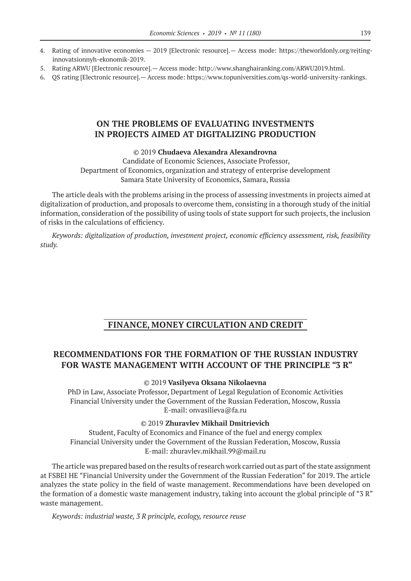- 4. Rating of innovative economies 2019 [Electronic resource].— Access mode: https://theworldonly.org/rejtinginnovatsionnyh-ekonomik‑2019.
- 5. Rating ARWU [Electronic resource].— Access mode: http://www.shanghairanking.com/ARWU2019.html.
- 6. QS rating [Electronic resource].— Access mode: https://www.topuniversities.com/qs-world-university-rankings.

### **ON THE PROBLEMS OF EVALUATING INVESTMENTS IN PROJECTS AIMED AT DIGITALIZING PRODUCTION**

### ©© 2019 **Chudaeva Alexandra Alexandrovna**

Candidate of Economic Sciences, Associate Professor, Department of Economics, organization and strategy of enterprise development Samara State University of Economics, Samara, Russia

The article deals with the problems arising in the process of assessing investments in projects aimed at digitalization of production, and proposals to overcome them, consisting in a thorough study of the initial information, consideration of the possibility of using tools of state support for such projects, the inclusion of risks in the calculations of efficiency.

*Keywords: digitalization of production, investment project, economic efficiency assessment, risk, feasibility study.*

### **FINANCE, MONEY CIRCULATION AND CREDIT**

# **RECOMMENDATIONS FOR THE FORMATION OF THE RUSSIAN INDUSTRY FOR WASTE MANAGEMENT WITH ACCOUNT OF THE PRINCIPLE "3 R"**

### ©© 2019 **Vasilyeva Oksana Nikolaevna**

PhD in Law, Associate Professor, Department of Legal Regulation of Economic Activities Financial University under the Government of the Russian Federation, Moscow, Russia E-mail: onvasilieva@fa.ru

#### ©© 2019 **Zhuravlev Mikhail Dmitrievich**

Student, Faculty of Economics and Finance of the fuel and energy complex Financial University under the Government of the Russian Federation, Moscow, Russia E‑mail: zhuravlev.mikhail.99@mail.ru

The article was prepared based on the results of research work carried out as part of the state assignment at FSBEI HE "Financial University under the Government of the Russian Federation" for 2019. The article analyzes the state policy in the field of waste management. Recommendations have been developed on the formation of a domestic waste management industry, taking into account the global principle of "3 R" waste management.

*Keywords: industrial waste, 3 R principle, ecology, resource reuse*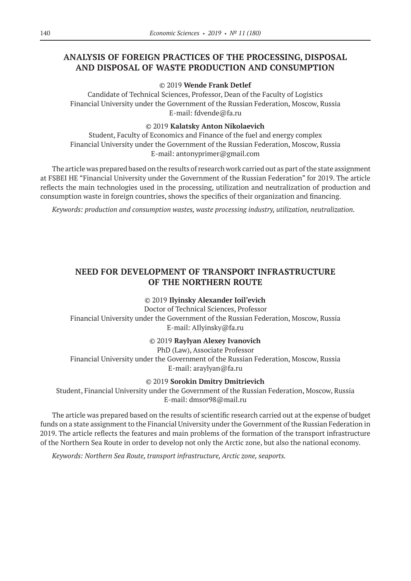# **ANALYSIS OF FOREIGN PRACTICES OF THE PROCESSING, DISPOSAL AND DISPOSAL OF WASTE PRODUCTION AND CONSUMPTION**

### ©© 2019 **Wende Frank Detlef**

Candidate of Technical Sciences, Professor, Dean of the Faculty of Logistics Financial University under the Government of the Russian Federation, Moscow, Russia E-mail: fdvende@fa.ru

### ©© 2019 **Kalatsky Anton Nikolaevich**

Student, Faculty of Economics and Finance of the fuel and energy complex Financial University under the Government of the Russian Federation, Moscow, Russia E‑mail: antonyprimer@gmail.com

The article was prepared based on the results of research work carried out as part of the state assignment at FSBEI HE "Financial University under the Government of the Russian Federation" for 2019. The article reflects the main technologies used in the processing, utilization and neutralization of production and consumption waste in foreign countries, shows the specifics of their organization and financing.

*Keywords: production and consumption wastes, waste processing industry, utilization, neutralization.*

# **NEED FOR DEVELOPMENT OF TRANSPORT INFRASTRUCTURE OF THE NORTHERN ROUTE**

### ©© 2019 **Ilyinsky Alexander Ioil'evich**

Doctor of Technical Sciences, Professor Financial University under the Government of the Russian Federation, Moscow, Russia Е‑mail: AIlyinsky@fa.ru

### ©© 2019 **Raylyan Alexey Ivanovich**

PhD (Law), Associate Professor Financial University under the Government of the Russian Federation, Moscow, Russia E-mail: araylyan@fa.ru

### ©© 2019 **Sorokin Dmitry Dmitrievich**

Student, Financial University under the Government of the Russian Federation, Moscow, Russia Е‑mail: dmsor98@mail.ru

The article was prepared based on the results of scientific research carried out at the expense of budget funds on a state assignment to the Financial University under the Government of the Russian Federation in 2019. The article reflects the features and main problems of the formation of the transport infrastructure of the Northern Sea Route in order to develop not only the Arctic zone, but also the national economy.

*Keywords: Northern Sea Route, transport infrastructure, Arctic zone, seaports.*